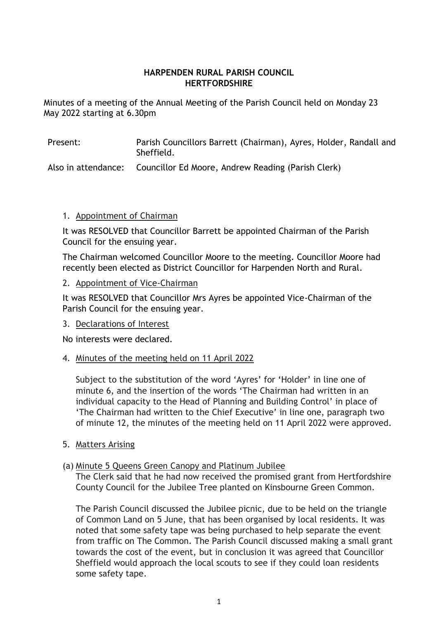#### **HARPENDEN RURAL PARISH COUNCIL HERTFORDSHIRE**

Minutes of a meeting of the Annual Meeting of the Parish Council held on Monday 23 May 2022 starting at 6.30pm

| Present: | Parish Councillors Barrett (Chairman), Ayres, Holder, Randall and<br>Sheffield.                                |
|----------|----------------------------------------------------------------------------------------------------------------|
|          | . Alexandra de característica de la constitución de la constitución de la constitución de la constitución de l |

Also in attendance: Councillor Ed Moore, Andrew Reading (Parish Clerk)

## 1. Appointment of Chairman

It was RESOLVED that Councillor Barrett be appointed Chairman of the Parish Council for the ensuing year.

The Chairman welcomed Councillor Moore to the meeting. Councillor Moore had recently been elected as District Councillor for Harpenden North and Rural.

## 2. Appointment of Vice-Chairman

It was RESOLVED that Councillor Mrs Ayres be appointed Vice-Chairman of the Parish Council for the ensuing year.

# 3. Declarations of Interest

No interests were declared.

#### 4. Minutes of the meeting held on 11 April 2022

Subject to the substitution of the word 'Ayres' for 'Holder' in line one of minute 6, and the insertion of the words 'The Chairman had written in an individual capacity to the Head of Planning and Building Control' in place of 'The Chairman had written to the Chief Executive' in line one, paragraph two of minute 12, the minutes of the meeting held on 11 April 2022 were approved.

#### 5. Matters Arising

# (a) Minute 5 Queens Green Canopy and Platinum Jubilee

The Clerk said that he had now received the promised grant from Hertfordshire County Council for the Jubilee Tree planted on Kinsbourne Green Common.

The Parish Council discussed the Jubilee picnic, due to be held on the triangle of Common Land on 5 June, that has been organised by local residents. It was noted that some safety tape was being purchased to help separate the event from traffic on The Common. The Parish Council discussed making a small grant towards the cost of the event, but in conclusion it was agreed that Councillor Sheffield would approach the local scouts to see if they could loan residents some safety tape.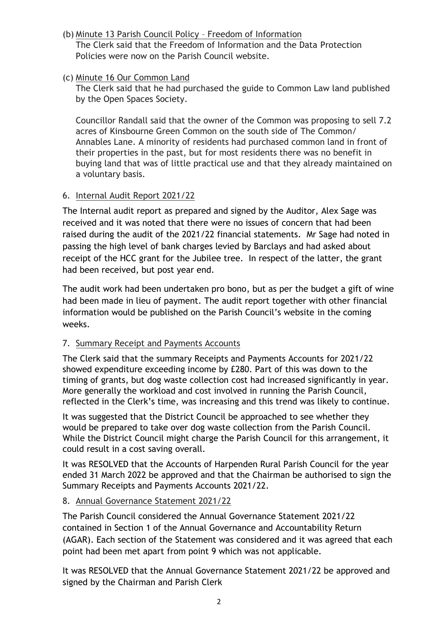(b) Minute 13 Parish Council Policy – Freedom of Information The Clerk said that the Freedom of Information and the Data Protection

Policies were now on the Parish Council website.

(c) Minute 16 Our Common Land

The Clerk said that he had purchased the guide to Common Law land published by the Open Spaces Society.

Councillor Randall said that the owner of the Common was proposing to sell 7.2 acres of Kinsbourne Green Common on the south side of The Common/ Annables Lane. A minority of residents had purchased common land in front of their properties in the past, but for most residents there was no benefit in buying land that was of little practical use and that they already maintained on a voluntary basis.

# 6. Internal Audit Report 2021/22

The Internal audit report as prepared and signed by the Auditor, Alex Sage was received and it was noted that there were no issues of concern that had been raised during the audit of the 2021/22 financial statements. Mr Sage had noted in passing the high level of bank charges levied by Barclays and had asked about receipt of the HCC grant for the Jubilee tree. In respect of the latter, the grant had been received, but post year end.

The audit work had been undertaken pro bono, but as per the budget a gift of wine had been made in lieu of payment. The audit report together with other financial information would be published on the Parish Council's website in the coming weeks.

# 7. Summary Receipt and Payments Accounts

The Clerk said that the summary Receipts and Payments Accounts for 2021/22 showed expenditure exceeding income by £280. Part of this was down to the timing of grants, but dog waste collection cost had increased significantly in year. More generally the workload and cost involved in running the Parish Council, reflected in the Clerk's time, was increasing and this trend was likely to continue.

It was suggested that the District Council be approached to see whether they would be prepared to take over dog waste collection from the Parish Council. While the District Council might charge the Parish Council for this arrangement, it could result in a cost saving overall.

It was RESOLVED that the Accounts of Harpenden Rural Parish Council for the year ended 31 March 2022 be approved and that the Chairman be authorised to sign the Summary Receipts and Payments Accounts 2021/22.

# 8. Annual Governance Statement 2021/22

The Parish Council considered the Annual Governance Statement 2021/22 contained in Section 1 of the Annual Governance and Accountability Return (AGAR). Each section of the Statement was considered and it was agreed that each point had been met apart from point 9 which was not applicable.

It was RESOLVED that the Annual Governance Statement 2021/22 be approved and signed by the Chairman and Parish Clerk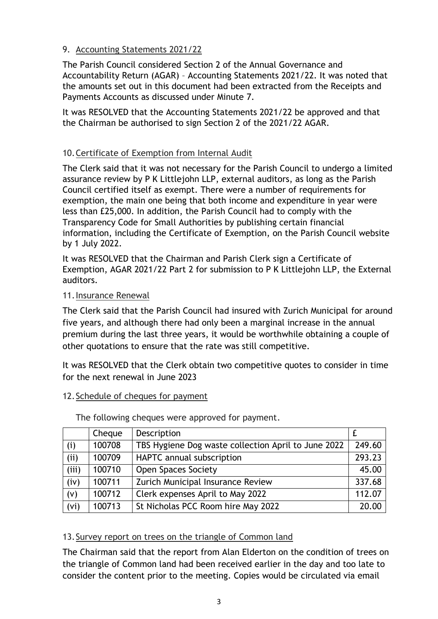# 9. Accounting Statements 2021/22

The Parish Council considered Section 2 of the Annual Governance and Accountability Return (AGAR) – Accounting Statements 2021/22. It was noted that the amounts set out in this document had been extracted from the Receipts and Payments Accounts as discussed under Minute 7.

It was RESOLVED that the Accounting Statements 2021/22 be approved and that the Chairman be authorised to sign Section 2 of the 2021/22 AGAR.

# 10.Certificate of Exemption from Internal Audit

The Clerk said that it was not necessary for the Parish Council to undergo a limited assurance review by P K Littlejohn LLP, external auditors, as long as the Parish Council certified itself as exempt. There were a number of requirements for exemption, the main one being that both income and expenditure in year were less than £25,000. In addition, the Parish Council had to comply with the Transparency Code for Small Authorities by publishing certain financial information, including the Certificate of Exemption, on the Parish Council website by 1 July 2022.

It was RESOLVED that the Chairman and Parish Clerk sign a Certificate of Exemption, AGAR 2021/22 Part 2 for submission to P K Littlejohn LLP, the External auditors.

## 11.Insurance Renewal

The Clerk said that the Parish Council had insured with Zurich Municipal for around five years, and although there had only been a marginal increase in the annual premium during the last three years, it would be worthwhile obtaining a couple of other quotations to ensure that the rate was still competitive.

It was RESOLVED that the Clerk obtain two competitive quotes to consider in time for the next renewal in June 2023

# 12.Schedule of cheques for payment

|       | Cheque | Description                                         |        |
|-------|--------|-----------------------------------------------------|--------|
| (i)   | 100708 | TBS Hygiene Dog waste collection April to June 2022 | 249.60 |
| (i)   | 100709 | HAPTC annual subscription                           | 293.23 |
| (iii) | 100710 | <b>Open Spaces Society</b>                          | 45.00  |
| (iv)  | 100711 | Zurich Municipal Insurance Review                   | 337.68 |
| (v)   | 100712 | Clerk expenses April to May 2022                    | 112.07 |
| (vi)  | 100713 | St Nicholas PCC Room hire May 2022                  | 20.00  |

The following cheques were approved for payment.

# 13.Survey report on trees on the triangle of Common land

The Chairman said that the report from Alan Elderton on the condition of trees on the triangle of Common land had been received earlier in the day and too late to consider the content prior to the meeting. Copies would be circulated via email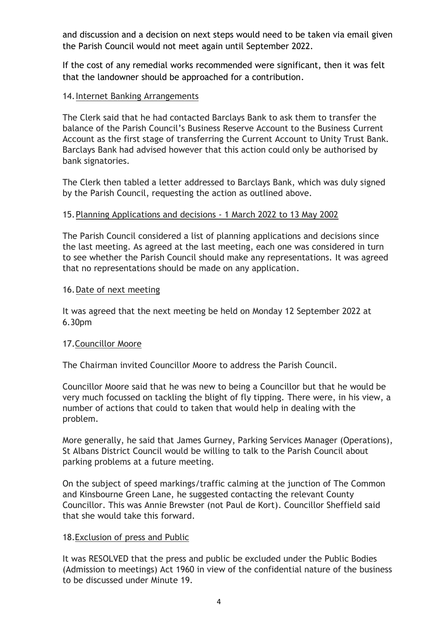and discussion and a decision on next steps would need to be taken via email given the Parish Council would not meet again until September 2022.

If the cost of any remedial works recommended were significant, then it was felt that the landowner should be approached for a contribution.

## 14.Internet Banking Arrangements

The Clerk said that he had contacted Barclays Bank to ask them to transfer the balance of the Parish Council's Business Reserve Account to the Business Current Account as the first stage of transferring the Current Account to Unity Trust Bank. Barclays Bank had advised however that this action could only be authorised by bank signatories.

The Clerk then tabled a letter addressed to Barclays Bank, which was duly signed by the Parish Council, requesting the action as outlined above.

## 15.Planning Applications and decisions - 1 March 2022 to 13 May 2002

The Parish Council considered a list of planning applications and decisions since the last meeting. As agreed at the last meeting, each one was considered in turn to see whether the Parish Council should make any representations. It was agreed that no representations should be made on any application.

#### 16.Date of next meeting

It was agreed that the next meeting be held on Monday 12 September 2022 at 6.30pm

#### 17.Councillor Moore

The Chairman invited Councillor Moore to address the Parish Council.

Councillor Moore said that he was new to being a Councillor but that he would be very much focussed on tackling the blight of fly tipping. There were, in his view, a number of actions that could to taken that would help in dealing with the problem.

More generally, he said that James Gurney, Parking Services Manager (Operations), St Albans District Council would be willing to talk to the Parish Council about parking problems at a future meeting.

On the subject of speed markings/traffic calming at the junction of The Common and Kinsbourne Green Lane, he suggested contacting the relevant County Councillor. This was Annie Brewster (not Paul de Kort). Councillor Sheffield said that she would take this forward.

#### 18.Exclusion of press and Public

It was RESOLVED that the press and public be excluded under the Public Bodies (Admission to meetings) Act 1960 in view of the confidential nature of the business to be discussed under Minute 19.